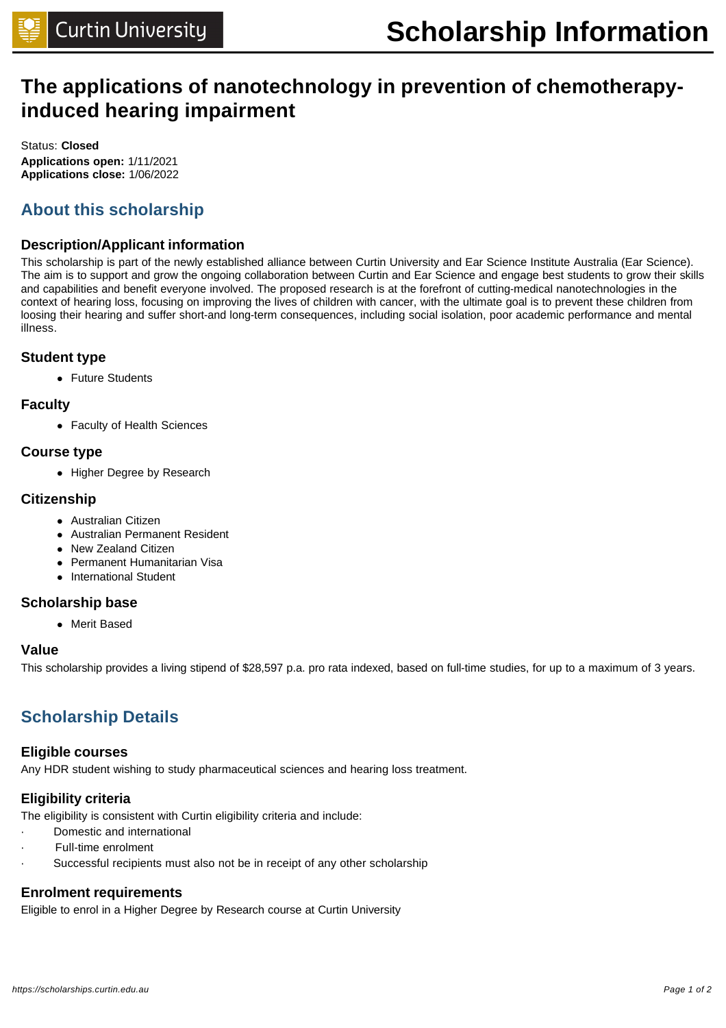# **The applications of nanotechnology in prevention of chemotherapyinduced hearing impairment**

Status: **Closed Applications open:** 1/11/2021 **Applications close:** 1/06/2022

### **About this scholarship**

### **Description/Applicant information**

This scholarship is part of the newly established alliance between Curtin University and Ear Science Institute Australia (Ear Science). The aim is to support and grow the ongoing collaboration between Curtin and Ear Science and engage best students to grow their skills and capabilities and benefit everyone involved. The proposed research is at the forefront of cutting-medical nanotechnologies in the context of hearing loss, focusing on improving the lives of children with cancer, with the ultimate goal is to prevent these children from loosing their hearing and suffer short-and long-term consequences, including social isolation, poor academic performance and mental illness.

#### **Student type**

• Future Students

### **Faculty**

• Faculty of Health Sciences

#### **Course type**

• Higher Degree by Research

### **Citizenship**

- **•** Australian Citizen
- Australian Permanent Resident
- New Zealand Citizen
- Permanent Humanitarian Visa
- International Student

### **Scholarship base**

**.** Merit Based

### **Value**

This scholarship provides a living stipend of \$28,597 p.a. pro rata indexed, based on full-time studies, for up to a maximum of 3 years.

### **Scholarship Details**

#### **Eligible courses**

Any HDR student wishing to study pharmaceutical sciences and hearing loss treatment.

### **Eligibility criteria**

The eligibility is consistent with Curtin eligibility criteria and include:

- Domestic and international
- Full-time enrolment
- Successful recipients must also not be in receipt of any other scholarship

### **Enrolment requirements**

Eligible to enrol in a Higher Degree by Research course at Curtin University